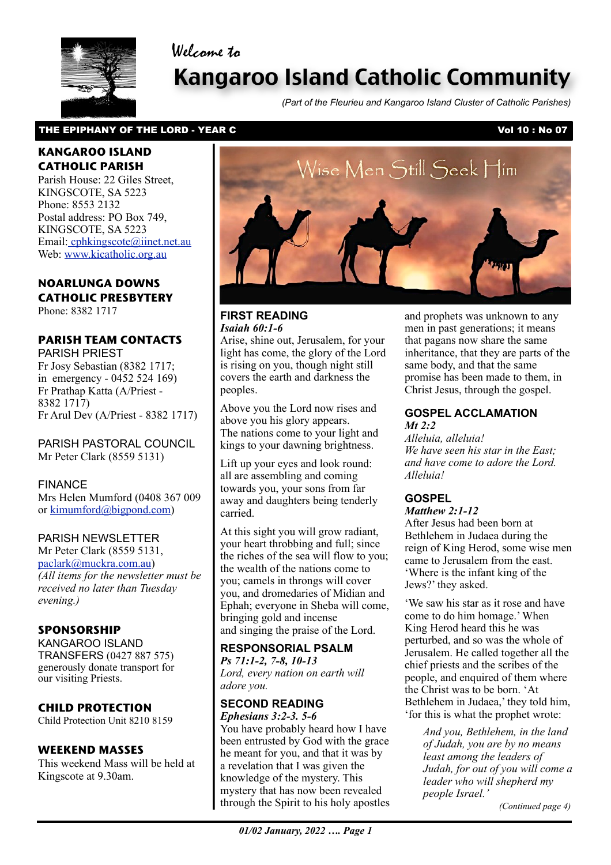



# Kangaroo Island Catholic Community

*(Part of the Fleurieu and Kangaroo Island Cluster of Catholic Parishes)*

#### THE EPIPHANY OF THE LORD - YEAR C VOLUME 2008 2012 10: No 07

#### **KANGAROO ISLAND CATHOLIC PARISH**

Parish House: 22 Giles Street, KINGSCOTE, SA 5223 Phone: 8553 2132 Postal address: PO Box 749, KINGSCOTE, SA 5223 Email[: cphkingscote@iinet.net.au](mailto:cphkingscote@iinet.net.au) Web: [www.kicatholic.org.au](http://www.kicatholic.org.au)

#### **NOARLUNGA DOWNS CATHOLIC PRESBYTERY**

Phone: 8382 1717

#### **PARISH TEAM CONTACTS**

PARISH PRIEST Fr Josy Sebastian (8382 1717; in emergency - 0452 524 169) Fr Prathap Katta (A/Priest - 8382 1717) Fr Arul Dev (A/Priest - 8382 1717)

PARISH PASTORAL COUNCIL Mr Peter Clark (8559 5131)

FINANCE Mrs Helen Mumford (0408 367 009 or [kimumford@bigpond.com\)](mailto:kimumford@bigpond.com)

#### PARISH NEWSLETTER

Mr Peter Clark (8559 5131, [paclark@muckra.com.au\)](mailto:paclark@muckra.com.au) *(All items for the newsletter must be received no later than Tuesday evening.)*

#### **SPONSORSHIP**

KANGAROO ISLAND TRANSFERS (0427 887 575) generously donate transport for our visiting Priests.

#### **CHILD PROTECTION**

Child Protection Unit 8210 8159

#### **WEEKEND MASSES**

This weekend Mass will be held at Kingscote at 9.30am.



#### **FIRST READING** *Isaiah 60:1-6*

Arise, shine out, Jerusalem, for your light has come, the glory of the Lord is rising on you, though night still covers the earth and darkness the peoples.

Above you the Lord now rises and above you his glory appears. The nations come to your light and kings to your dawning brightness.

Lift up your eyes and look round: all are assembling and coming towards you, your sons from far away and daughters being tenderly carried.

At this sight you will grow radiant, your heart throbbing and full; since the riches of the sea will flow to you; the wealth of the nations come to you; camels in throngs will cover you, and dromedaries of Midian and Ephah; everyone in Sheba will come, bringing gold and incense and singing the praise of the Lord.

#### **RESPONSORIAL PSALM**

*Ps 71:1-2, 7-8, 10-13 Lord, every nation on earth will adore you.*

#### **SECOND READING**

 through the Spirit to his holy apostles *Ephesians 3:2-3. 5-6* You have probably heard how I have been entrusted by God with the grace he meant for you, and that it was by a revelation that I was given the knowledge of the mystery. This mystery that has now been revealed

and prophets was unknown to any men in past generations; it means that pagans now share the same inheritance, that they are parts of the same body, and that the same promise has been made to them, in Christ Jesus, through the gospel.

#### **GOSPEL ACCLAMATION** *Mt 2:2*

*Alleluia, alleluia! We have seen his star in the East; and have come to adore the Lord. Alleluia!*

#### **GOSPEL**

*Matthew 2:1-12*

After Jesus had been born at Bethlehem in Judaea during the reign of King Herod, some wise men came to Jerusalem from the east. 'Where is the infant king of the Jews?' they asked.

'We saw his star as it rose and have come to do him homage.' When King Herod heard this he was perturbed, and so was the whole of Jerusalem. He called together all the chief priests and the scribes of the people, and enquired of them where the Christ was to be born. 'At Bethlehem in Judaea,' they told him, 'for this is what the prophet wrote:

> *And you, Bethlehem, in the land of Judah, you are by no means least among the leaders of Judah, for out of you will come a leader who will shepherd my people Israel.'*

*(Continued page 4)*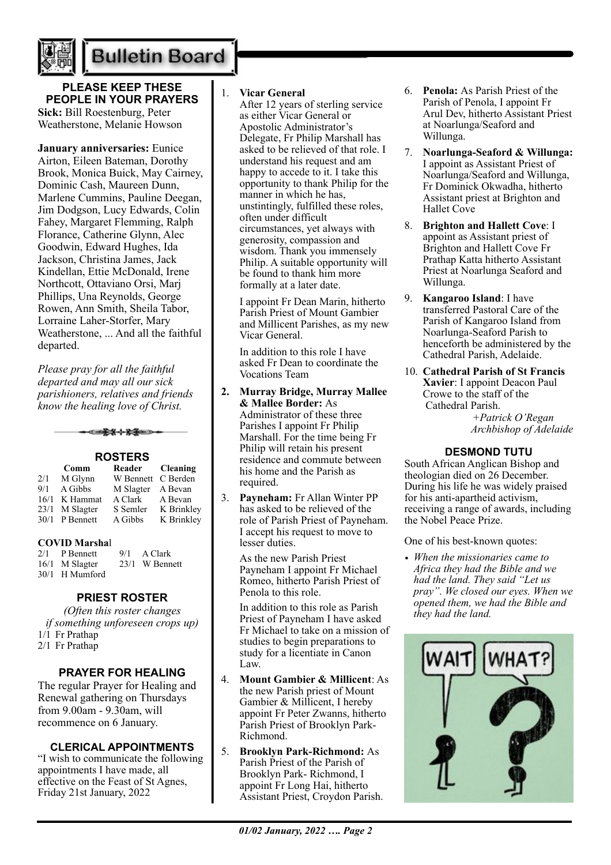

### **Bulletin Board**

**PLEASE KEEP THESE PEOPLE IN YOUR PRAYERS Sick:** Bill Roestenburg, Peter Weatherstone, Melanie Howson

**January anniversaries:** Eunice Airton, Eileen Bateman, Dorothy Brook, Monica Buick, May Cairney, Dominic Cash, Maureen Dunn, Marlene Cummins, Pauline Deegan, Jim Dodgson, Lucy Edwards, Colin Fahey, Margaret Flemming, Ralph Florance, Catherine Glynn, Alec Goodwin, Edward Hughes, Ida Jackson, Christina James, Jack Kindellan, Ettie McDonald, Irene Northcott, Ottaviano Orsi, Marj Phillips, Una Reynolds, George Rowen, Ann Smith, Sheila Tabor, Lorraine Laher-Storfer, Mary Weatherstone, ... And all the faithful departed.

*Please pray for all the faithful departed and may all our sick parishioners, relatives and friends know the healing love of Christ.*

ఆ<del>≵⊀⊹⊁≸</del>≡

| <b>ROSTERS</b> |           |           |            |
|----------------|-----------|-----------|------------|
|                | Comm      | Reader    | Cleaning   |
| 2/1            | M Glynn   | W Bennett | C Berden   |
| 9/1            | A Gibbs   | M Slagter | A Bevan    |
| 16/1           | K Hammat  | A Clark   | A Bevan    |
| 23/1           | M Slagter | S Semler  | K Brinkley |
| 30/1           | P Bennett | A Gibbs   | K Brinkley |

#### **COVID Marsha**l

 $2/1$  P Bennett 9/1 A Clark 16/1 M Slagter 23/1 W Bennett 30/1 H Mumford

#### **PRIEST ROSTER**

*(Often this roster changes if something unforeseen crops up)* 1/1 Fr Prathap 2/1 Fr Prathap

#### **PRAYER FOR HEALING**

The regular Prayer for Healing and Renewal gathering on Thursdays from 9.00am - 9.30am, will recommence on 6 January.

#### **CLERICAL APPOINTMENTS**

"I wish to communicate the following appointments I have made, all effective on the Feast of St Agnes, Friday 21st January, 2022

#### 1. **Vicar General**

After 12 years of sterling service as either Vicar General or Apostolic Administrator's Delegate, Fr Philip Marshall has asked to be relieved of that role. I understand his request and am happy to accede to it. I take this opportunity to thank Philip for the manner in which he has, unstintingly, fulfilled these roles, often under difficult circumstances, yet always with generosity, compassion and wisdom. Thank you immensely Philip. A suitable opportunity will be found to thank him more formally at a later date.

I appoint Fr Dean Marin, hitherto Parish Priest of Mount Gambier and Millicent Parishes, as my new Vicar General.

In addition to this role I have asked Fr Dean to coordinate the Vocations Team

- **2. Murray Bridge, Murray Mallee & Mallee Border:** As Administrator of these three Parishes I appoint Fr Philip Marshall. For the time being Fr Philip will retain his present residence and commute between his home and the Parish as required.
- 3. **Payneham:** Fr Allan Winter PP has asked to be relieved of the role of Parish Priest of Payneham. I accept his request to move to lesser duties.

As the new Parish Priest Payneham I appoint Fr Michael Romeo, hitherto Parish Priest of Penola to this role.

In addition to this role as Parish Priest of Payneham I have asked Fr Michael to take on a mission of studies to begin preparations to study for a licentiate in Canon Law.

- 4. **Mount Gambier & Millicent**: As the new Parish priest of Mount Gambier & Millicent, I hereby appoint Fr Peter Zwanns, hitherto Parish Priest of Brooklyn Park-Richmond.
- 5. **Brooklyn Park-Richmond:** As Parish Priest of the Parish of Brooklyn Park- Richmond, I appoint Fr Long Hai, hitherto Assistant Priest, Croydon Parish.
- 6. **Penola:** As Parish Priest of the Parish of Penola, I appoint Fr Arul Dev, hitherto Assistant Priest at Noarlunga/Seaford and Willunga.
- 7. **Noarlunga-Seaford & Willunga:** I appoint as Assistant Priest of Noarlunga/Seaford and Willunga, Fr Dominick Okwadha, hitherto Assistant priest at Brighton and Hallet Cove
- 8. **Brighton and Hallett Cove**: I appoint as Assistant priest of Brighton and Hallett Cove Fr Prathap Katta hitherto Assistant Priest at Noarlunga Seaford and Willunga.
- 9. **Kangaroo Island**: I have transferred Pastoral Care of the Parish of Kangaroo Island from Noarlunga-Seaford Parish to henceforth be administered by the Cathedral Parish, Adelaide.
- 10. **Cathedral Parish of St Francis Xavier**: I appoint Deacon Paul Crowe to the staff of the Cathedral Parish.

 *+Patrick O'Regan Archbishop of Adelaide*

#### **DESMOND TUTU**

South African Anglican Bishop and theologian died on 26 December. During his life he was widely praised for his anti-apartheid activism, receiving a range of awards, including the Nobel Peace Prize.

One of his best-known quotes:

*• When the missionaries came to Africa they had the Bible and we had the land. They said "Let us pray". We closed our eyes. When we opened them, we had the Bible and they had the land.*

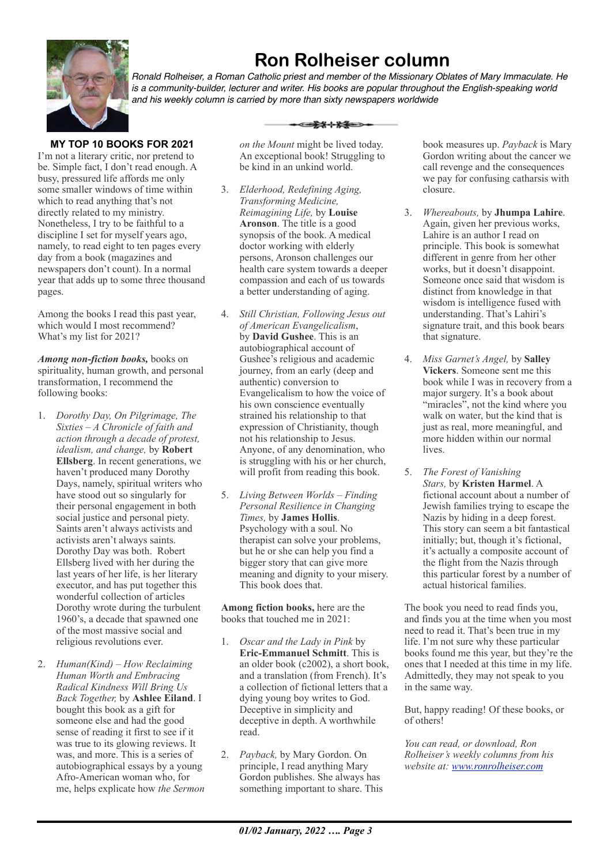

## **Ron Rolheiser column**

*Ronald Rolheiser, a Roman Catholic priest and member of the Missionary Oblates of Mary Immaculate. He is a community-builder, lecturer and writer. His books are popular throughout the English-speaking world and his weekly column is carried by more than sixty newspapers worldwide*

#### **MY TOP 10 BOOKS FOR 2021**

I'm not a literary critic, nor pretend to be. Simple fact, I don't read enough. A busy, pressured life affords me only some smaller windows of time within which to read anything that's not directly related to my ministry. Nonetheless, I try to be faithful to a discipline I set for myself years ago, namely, to read eight to ten pages every day from a book (magazines and newspapers don't count). In a normal year that adds up to some three thousand pages.

Among the books I read this past year, which would I most recommend? What's my list for 2021?

*Among non-fiction books,* books on spirituality, human growth, and personal transformation, I recommend the following books:

- 1. *Dorothy Day, On Pilgrimage, The Sixties – A Chronicle of faith and action through a decade of protest, idealism, and change,* by **Robert Ellsberg**. In recent generations, we haven't produced many Dorothy Days, namely, spiritual writers who have stood out so singularly for their personal engagement in both social justice and personal piety. Saints aren't always activists and activists aren't always saints. Dorothy Day was both. Robert Ellsberg lived with her during the last years of her life, is her literary executor, and has put together this wonderful collection of articles Dorothy wrote during the turbulent 1960's, a decade that spawned one of the most massive social and religious revolutions ever.
- 2. *Human(Kind) How Reclaiming Human Worth and Embracing Radical Kindness Will Bring Us Back Together,* by **Ashlee Eiland**. I bought this book as a gift for someone else and had the good sense of reading it first to see if it was true to its glowing reviews. It was, and more. This is a series of autobiographical essays by a young Afro-American woman who, for me, helps explicate how *the Sermon*

<del>-1140</del>

*on the Mount* might be lived today. An exceptional book! Struggling to be kind in an unkind world.

- 3. *Elderhood, Redefining Aging, Transforming Medicine, Reimagining Life,* by **Louise Aronson**. The title is a good synopsis of the book. A medical doctor working with elderly persons, Aronson challenges our health care system towards a deeper compassion and each of us towards a better understanding of aging.
- 4. *Still Christian, Following Jesus out of American Evangelicalism*, by **David Gushee**. This is an autobiographical account of Gushee's religious and academic journey, from an early (deep and authentic) conversion to Evangelicalism to how the voice of his own conscience eventually strained his relationship to that expression of Christianity, though not his relationship to Jesus. Anyone, of any denomination, who is struggling with his or her church, will profit from reading this book.
- 5. *Living Between Worlds Finding Personal Resilience in Changing Times,* by **James Hollis**. Psychology with a soul. No therapist can solve your problems, but he or she can help you find a bigger story that can give more meaning and dignity to your misery. This book does that.

**Among fiction books,** here are the books that touched me in 2021:

- 1. *Oscar and the Lady in Pink* by **Eric-Emmanuel Schmitt**. This is an older book (c2002), a short book, and a translation (from French). It's a collection of fictional letters that a dying young boy writes to God. Deceptive in simplicity and deceptive in depth. A worthwhile read.
- 2. *Payback,* by Mary Gordon. On principle, I read anything Mary Gordon publishes. She always has something important to share. This

book measures up. *Payback* is Mary Gordon writing about the cancer we call revenge and the consequences we pay for confusing catharsis with closure.

- 3. *Whereabouts,* by **Jhumpa Lahire**. Again, given her previous works, Lahire is an author I read on principle. This book is somewhat different in genre from her other works, but it doesn't disappoint. Someone once said that wisdom is distinct from knowledge in that wisdom is intelligence fused with understanding. That's Lahiri's signature trait, and this book bears that signature.
- 4. *Miss Garnet's Angel,* by **Salley Vickers**. Someone sent me this book while I was in recovery from a major surgery. It's a book about "miracles", not the kind where you walk on water, but the kind that is just as real, more meaningful, and more hidden within our normal lives.
- 5. *The Forest of Vanishing Stars,* by **Kristen Harmel**. A fictional account about a number of Jewish families trying to escape the Nazis by hiding in a deep forest. This story can seem a bit fantastical initially; but, though it's fictional, it's actually a composite account of the flight from the Nazis through this particular forest by a number of actual historical families.

The book you need to read finds you, and finds you at the time when you most need to read it. That's been true in my life. I'm not sure why these particular books found me this year, but they're the ones that I needed at this time in my life. Admittedly, they may not speak to you in the same way.

But, happy reading! Of these books, or of others!

*You can read, or download, Ron Rolheiser's weekly columns from his website at: [www.ronrolheiser.com](http://www.ronrolheiser.com)*